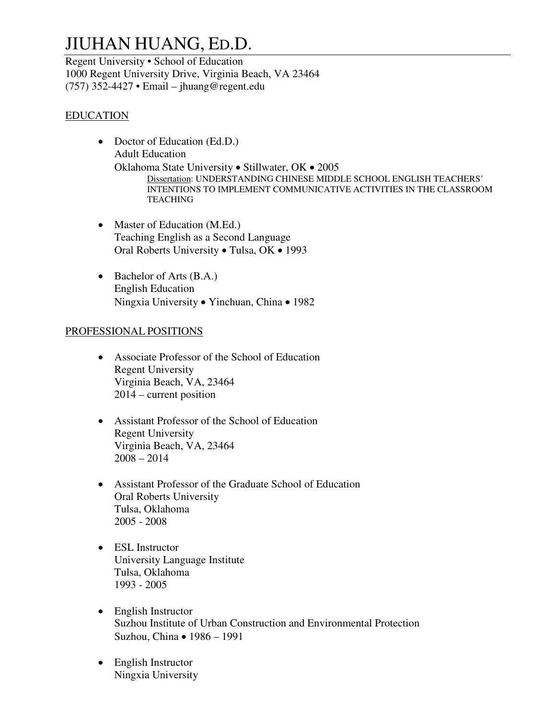# JIUHAN HUANG, ED.D.

Regent University • School of Education 1000 Regent University Drive, Virginia Beach, VA 23464 (757) 352-4427 • Email – jhuang@regent.edu

## EDUCATION

- Doctor of Education (Ed.D.) Adult Education Oklahoma State University • Stillwater, OK • 2005 Dissertation: UNDERSTANDING CHINESE MIDDLE SCHOOL ENGLISH TEACHERS' INTENTIONS TO IMPLEMENT COMMUNICATIVE ACTIVITIES IN THE CLASSROOM **TEACHING**
- Master of Education (M.Ed.) Teaching English as a Second Language Oral Roberts University • Tulsa, OK • 1993
- Bachelor of Arts (B.A.) English Education Ningxia University • Yinchuan, China • 1982

#### PROFESSIONAL POSITIONS

- Associate Professor of the School of Education Regent University Virginia Beach, VA, 23464 2014 – current position
- Assistant Professor of the School of Education Regent University Virginia Beach, VA, 23464  $2008 - 2014$
- Assistant Professor of the Graduate School of Education Oral Roberts University Tulsa, Oklahoma 2005 - 2008
- ESL Instructor University Language Institute Tulsa, Oklahoma 1993 - 2005
- English Instructor Suzhou Institute of Urban Construction and Environmental Protection Suzhou, China • 1986 – 1991
- English Instructor Ningxia University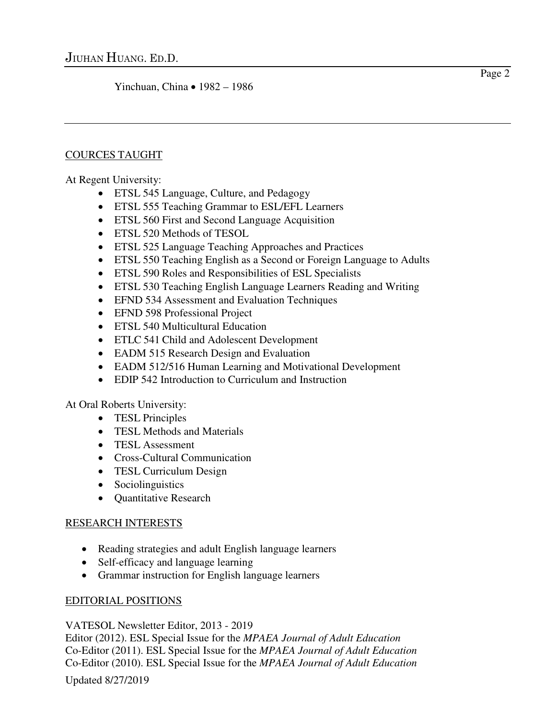Yinchuan, China • 1982 – 1986

### COURCES TAUGHT

At Regent University:

- ETSL 545 Language, Culture, and Pedagogy
- ETSL 555 Teaching Grammar to ESL/EFL Learners
- ETSL 560 First and Second Language Acquisition
- ETSL 520 Methods of TESOL
- ETSL 525 Language Teaching Approaches and Practices
- ETSL 550 Teaching English as a Second or Foreign Language to Adults
- ETSL 590 Roles and Responsibilities of ESL Specialists
- ETSL 530 Teaching English Language Learners Reading and Writing
- EFND 534 Assessment and Evaluation Techniques
- EFND 598 Professional Project
- ETSL 540 Multicultural Education
- ETLC 541 Child and Adolescent Development
- EADM 515 Research Design and Evaluation
- EADM 512/516 Human Learning and Motivational Development
- EDIP 542 Introduction to Curriculum and Instruction

At Oral Roberts University:

- TESL Principles
- TESL Methods and Materials
- TESL Assessment
- Cross-Cultural Communication
- TESL Curriculum Design
- Sociolinguistics
- Quantitative Research

# RESEARCH INTERESTS

- Reading strategies and adult English language learners
- Self-efficacy and language learning
- Grammar instruction for English language learners

# EDITORIAL POSITIONS

# VATESOL Newsletter Editor, 2013 - 2019

Editor (2012). ESL Special Issue for the *MPAEA Journal of Adult Education*  Co-Editor (2011). ESL Special Issue for the *MPAEA Journal of Adult Education*  Co-Editor (2010). ESL Special Issue for the *MPAEA Journal of Adult Education*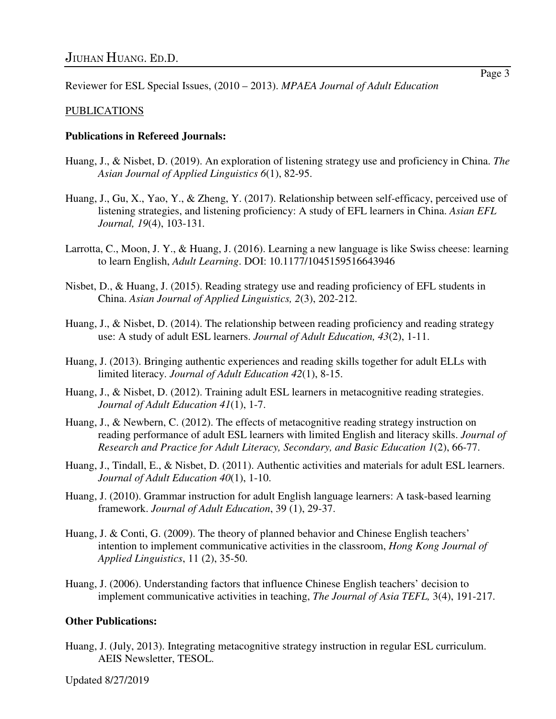Reviewer for ESL Special Issues, (2010 – 2013). *MPAEA Journal of Adult Education* 

#### PUBLICATIONS

#### **Publications in Refereed Journals:**

- Huang, J., & Nisbet, D. (2019). An exploration of listening strategy use and proficiency in China. *The Asian Journal of Applied Linguistics 6*(1), 82-95.
- Huang, J., Gu, X., Yao, Y., & Zheng, Y. (2017). Relationship between self-efficacy, perceived use of listening strategies, and listening proficiency: A study of EFL learners in China. *Asian EFL Journal, 19*(4), 103-131*.*
- Larrotta, C., Moon, J. Y., & Huang, J. (2016). Learning a new language is like Swiss cheese: learning to learn English, *Adult Learning*. DOI: 10.1177/1045159516643946
- Nisbet, D., & Huang, J. (2015). Reading strategy use and reading proficiency of EFL students in China. *Asian Journal of Applied Linguistics, 2*(3), 202-212.
- Huang, J., & Nisbet, D. (2014). The relationship between reading proficiency and reading strategy use: A study of adult ESL learners. *Journal of Adult Education, 43*(2), 1-11.
- Huang, J. (2013). Bringing authentic experiences and reading skills together for adult ELLs with limited literacy. *Journal of Adult Education 42*(1), 8-15.
- Huang, J., & Nisbet, D. (2012). Training adult ESL learners in metacognitive reading strategies. *Journal of Adult Education 41*(1), 1-7.
- Huang, J., & Newbern, C. (2012). The effects of metacognitive reading strategy instruction on reading performance of adult ESL learners with limited English and literacy skills. *Journal of Research and Practice for Adult Literacy, Secondary, and Basic Education 1*(2), 66-77.
- Huang, J., Tindall, E., & Nisbet, D. (2011). Authentic activities and materials for adult ESL learners. *Journal of Adult Education 40*(1), 1-10.
- Huang, J. (2010). Grammar instruction for adult English language learners: A task-based learning framework. *Journal of Adult Education*, 39 (1), 29-37.
- Huang, J. & Conti, G. (2009). The theory of planned behavior and Chinese English teachers' intention to implement communicative activities in the classroom, *Hong Kong Journal of Applied Linguistics*, 11 (2), 35-50.
- Huang, J. (2006). Understanding factors that influence Chinese English teachers' decision to implement communicative activities in teaching, *The Journal of Asia TEFL,* 3(4), 191-217.

#### **Other Publications:**

Huang, J. (July, 2013). Integrating metacognitive strategy instruction in regular ESL curriculum. AEIS Newsletter, TESOL.

Updated 8/27/2019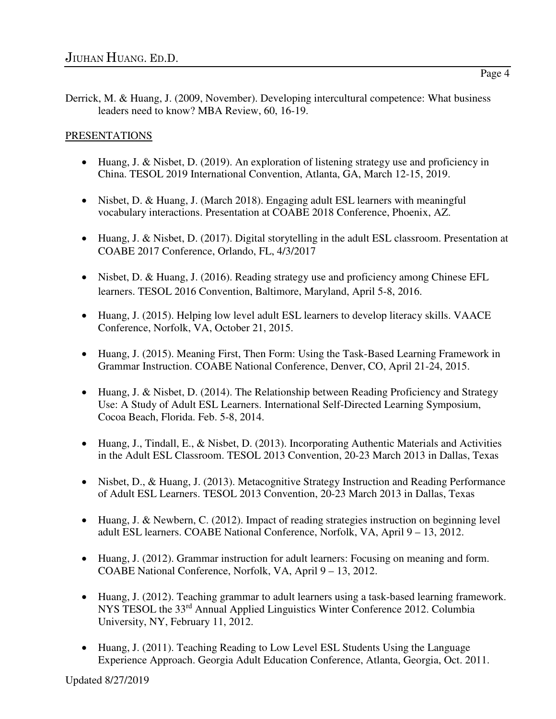## PRESENTATIONS

- Huang, J. & Nisbet, D. (2019). An exploration of listening strategy use and proficiency in China. TESOL 2019 International Convention, Atlanta, GA, March 12-15, 2019.
- Nisbet, D. & Huang, J. (March 2018). Engaging adult ESL learners with meaningful vocabulary interactions. Presentation at COABE 2018 Conference, Phoenix, AZ.
- Huang, J. & Nisbet, D. (2017). Digital storytelling in the adult ESL classroom. Presentation at COABE 2017 Conference, Orlando, FL, 4/3/2017
- Nisbet, D. & Huang, J. (2016). Reading strategy use and proficiency among Chinese EFL learners. TESOL 2016 Convention, Baltimore, Maryland, April 5-8, 2016.
- Huang, J. (2015). Helping low level adult ESL learners to develop literacy skills. VAACE Conference, Norfolk, VA, October 21, 2015.
- Huang, J. (2015). Meaning First, Then Form: Using the Task-Based Learning Framework in Grammar Instruction. COABE National Conference, Denver, CO, April 21-24, 2015.
- Huang, J. & Nisbet, D. (2014). The Relationship between Reading Proficiency and Strategy Use: A Study of Adult ESL Learners. International Self-Directed Learning Symposium, Cocoa Beach, Florida. Feb. 5-8, 2014.
- Huang, J., Tindall, E., & Nisbet, D. (2013). Incorporating Authentic Materials and Activities in the Adult ESL Classroom. TESOL 2013 Convention, 20-23 March 2013 in Dallas, Texas
- Nisbet, D., & Huang, J. (2013). Metacognitive Strategy Instruction and Reading Performance of Adult ESL Learners. TESOL 2013 Convention, 20-23 March 2013 in Dallas, Texas
- Huang, J. & Newbern, C. (2012). Impact of reading strategies instruction on beginning level adult ESL learners. COABE National Conference, Norfolk, VA, April 9 – 13, 2012.
- Huang, J. (2012). Grammar instruction for adult learners: Focusing on meaning and form. COABE National Conference, Norfolk, VA, April 9 – 13, 2012.
- Huang, J. (2012). Teaching grammar to adult learners using a task-based learning framework. NYS TESOL the 33rd Annual Applied Linguistics Winter Conference 2012. Columbia University, NY, February 11, 2012.
- Huang, J. (2011). Teaching Reading to Low Level ESL Students Using the Language Experience Approach. Georgia Adult Education Conference, Atlanta, Georgia, Oct. 2011.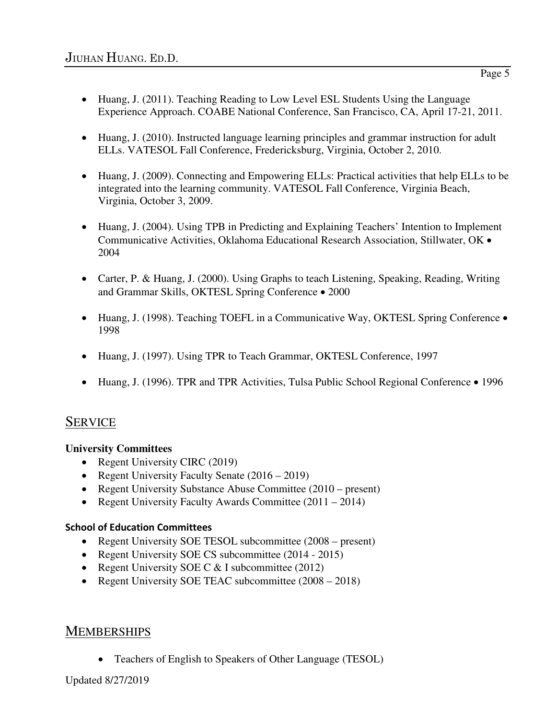- Huang, J. (2011). Teaching Reading to Low Level ESL Students Using the Language Experience Approach. COABE National Conference, San Francisco, CA, April 17-21, 2011.
- Huang, J. (2010). Instructed language learning principles and grammar instruction for adult ELLs. VATESOL Fall Conference, Fredericksburg, Virginia, October 2, 2010.
- Huang, J. (2009). Connecting and Empowering ELLs: Practical activities that help ELLs to be integrated into the learning community. VATESOL Fall Conference, Virginia Beach, Virginia, October 3, 2009.
- Huang, J. (2004). Using TPB in Predicting and Explaining Teachers' Intention to Implement Communicative Activities, Oklahoma Educational Research Association, Stillwater, OK • 2004
- Carter, P. & Huang, J. (2000). Using Graphs to teach Listening, Speaking, Reading, Writing and Grammar Skills, OKTESL Spring Conference • 2000
- Huang, J. (1998). Teaching TOEFL in a Communicative Way, OKTESL Spring Conference 1998
- Huang, J. (1997). Using TPR to Teach Grammar, OKTESL Conference, 1997
- Huang, J. (1996). TPR and TPR Activities, Tulsa Public School Regional Conference 1996

# **SERVICE**

#### **University Committees**

- Regent University CIRC (2019)
- Regent University Faculty Senate (2016 2019)
- Regent University Substance Abuse Committee (2010 present)
- Regent University Faculty Awards Committee (2011 2014)

#### **School of Education Committees**

- Regent University SOE TESOL subcommittee (2008 present)
- Regent University SOE CS subcommittee (2014 2015)
- Regent University SOE C  $<$  I subcommittee (2012)
- Regent University SOE TEAC subcommittee  $(2008 2018)$

# **MEMBERSHIPS**

• Teachers of English to Speakers of Other Language (TESOL)

Updated 8/27/2019